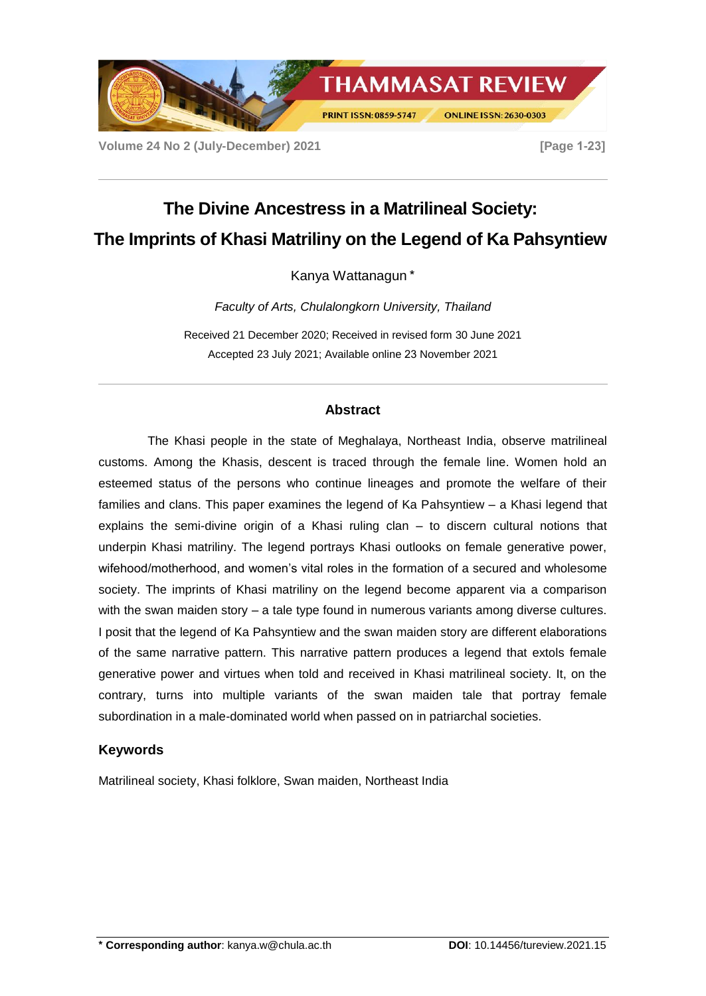

**Volume 24 No 2 (July-December) 2021 [Page 1-23]**

# **The Divine Ancestress in a Matrilineal Society: The Imprints of Khasi Matriliny on the Legend of Ka Pahsyntiew**

Kanya Wattanagun \*

*Faculty of Arts, Chulalongkorn University, Thailand*

Received 21 December 2020; Received in revised form 30 June 2021 Accepted 23 July 2021; Available online 23 November 2021

# **Abstract**

The Khasi people in the state of Meghalaya, Northeast India, observe matrilineal customs. Among the Khasis, descent is traced through the female line. Women hold an esteemed status of the persons who continue lineages and promote the welfare of their families and clans. This paper examines the legend of Ka Pahsyntiew – a Khasi legend that explains the semi-divine origin of a Khasi ruling clan – to discern cultural notions that underpin Khasi matriliny. The legend portrays Khasi outlooks on female generative power, wifehood/motherhood, and women's vital roles in the formation of a secured and wholesome society. The imprints of Khasi matriliny on the legend become apparent via a comparison with the swan maiden story – a tale type found in numerous variants among diverse cultures. I posit that the legend of Ka Pahsyntiew and the swan maiden story are different elaborations of the same narrative pattern. This narrative pattern produces a legend that extols female generative power and virtues when told and received in Khasi matrilineal society. It, on the contrary, turns into multiple variants of the swan maiden tale that portray female subordination in a male-dominated world when passed on in patriarchal societies.

# **Keywords**

Matrilineal society, Khasi folklore, Swan maiden, Northeast India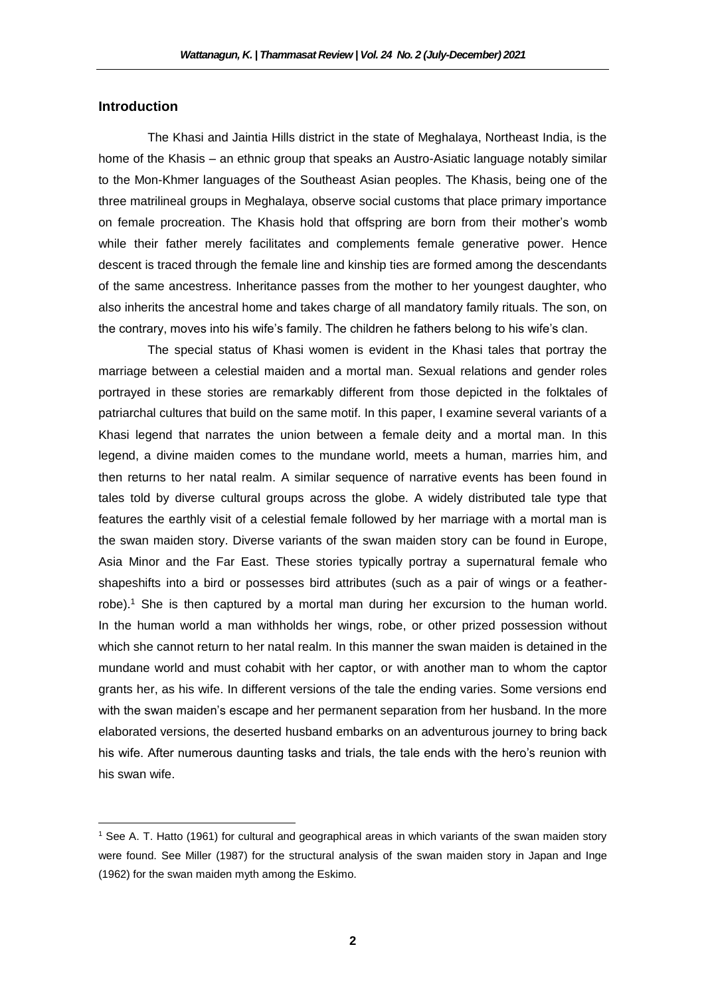## **Introduction**

 $\overline{a}$ 

The Khasi and Jaintia Hills district in the state of Meghalaya, Northeast India, is the home of the Khasis – an ethnic group that speaks an Austro-Asiatic language notably similar to the Mon-Khmer languages of the Southeast Asian peoples. The Khasis, being one of the three matrilineal groups in Meghalaya, observe social customs that place primary importance on female procreation. The Khasis hold that offspring are born from their mother's womb while their father merely facilitates and complements female generative power. Hence descent is traced through the female line and kinship ties are formed among the descendants of the same ancestress. Inheritance passes from the mother to her youngest daughter, who also inherits the ancestral home and takes charge of all mandatory family rituals. The son, on the contrary, moves into his wife's family. The children he fathers belong to his wife's clan.

The special status of Khasi women is evident in the Khasi tales that portray the marriage between a celestial maiden and a mortal man. Sexual relations and gender roles portrayed in these stories are remarkably different from those depicted in the folktales of patriarchal cultures that build on the same motif. In this paper, I examine several variants of a Khasi legend that narrates the union between a female deity and a mortal man. In this legend, a divine maiden comes to the mundane world, meets a human, marries him, and then returns to her natal realm. A similar sequence of narrative events has been found in tales told by diverse cultural groups across the globe. A widely distributed tale type that features the earthly visit of a celestial female followed by her marriage with a mortal man is the swan maiden story. Diverse variants of the swan maiden story can be found in Europe, Asia Minor and the Far East. These stories typically portray a supernatural female who shapeshifts into a bird or possesses bird attributes (such as a pair of wings or a featherrobe).<sup>1</sup> She is then captured by a mortal man during her excursion to the human world. In the human world a man withholds her wings, robe, or other prized possession without which she cannot return to her natal realm. In this manner the swan maiden is detained in the mundane world and must cohabit with her captor, or with another man to whom the captor grants her, as his wife. In different versions of the tale the ending varies. Some versions end with the swan maiden's escape and her permanent separation from her husband. In the more elaborated versions, the deserted husband embarks on an adventurous journey to bring back his wife. After numerous daunting tasks and trials, the tale ends with the hero's reunion with his swan wife.

<sup>1</sup> See A. T. Hatto (1961) for cultural and geographical areas in which variants of the swan maiden story were found. See Miller (1987) for the structural analysis of the swan maiden story in Japan and Inge (1962) for the swan maiden myth among the Eskimo.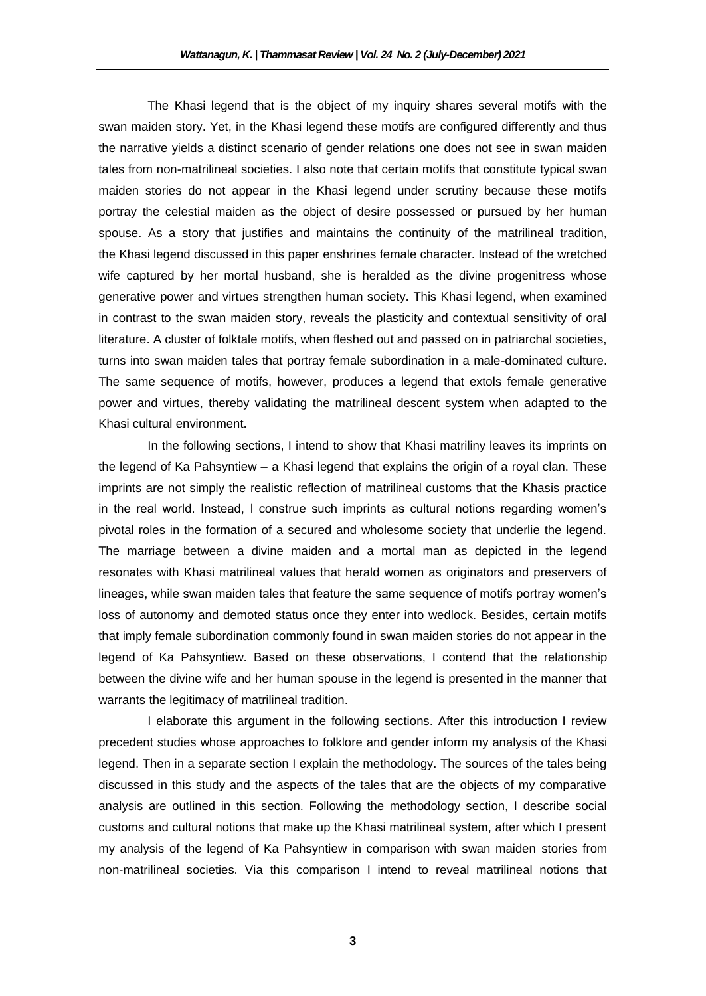The Khasi legend that is the object of my inquiry shares several motifs with the swan maiden story. Yet, in the Khasi legend these motifs are configured differently and thus the narrative yields a distinct scenario of gender relations one does not see in swan maiden tales from non-matrilineal societies. I also note that certain motifs that constitute typical swan maiden stories do not appear in the Khasi legend under scrutiny because these motifs portray the celestial maiden as the object of desire possessed or pursued by her human spouse. As a story that justifies and maintains the continuity of the matrilineal tradition, the Khasi legend discussed in this paper enshrines female character. Instead of the wretched wife captured by her mortal husband, she is heralded as the divine progenitress whose generative power and virtues strengthen human society. This Khasi legend, when examined in contrast to the swan maiden story, reveals the plasticity and contextual sensitivity of oral literature. A cluster of folktale motifs, when fleshed out and passed on in patriarchal societies, turns into swan maiden tales that portray female subordination in a male-dominated culture. The same sequence of motifs, however, produces a legend that extols female generative power and virtues, thereby validating the matrilineal descent system when adapted to the Khasi cultural environment.

In the following sections, I intend to show that Khasi matriliny leaves its imprints on the legend of Ka Pahsyntiew – a Khasi legend that explains the origin of a royal clan. These imprints are not simply the realistic reflection of matrilineal customs that the Khasis practice in the real world. Instead, I construe such imprints as cultural notions regarding women's pivotal roles in the formation of a secured and wholesome society that underlie the legend. The marriage between a divine maiden and a mortal man as depicted in the legend resonates with Khasi matrilineal values that herald women as originators and preservers of lineages, while swan maiden tales that feature the same sequence of motifs portray women's loss of autonomy and demoted status once they enter into wedlock. Besides, certain motifs that imply female subordination commonly found in swan maiden stories do not appear in the legend of Ka Pahsyntiew. Based on these observations, I contend that the relationship between the divine wife and her human spouse in the legend is presented in the manner that warrants the legitimacy of matrilineal tradition.

I elaborate this argument in the following sections. After this introduction I review precedent studies whose approaches to folklore and gender inform my analysis of the Khasi legend. Then in a separate section I explain the methodology. The sources of the tales being discussed in this study and the aspects of the tales that are the objects of my comparative analysis are outlined in this section. Following the methodology section, I describe social customs and cultural notions that make up the Khasi matrilineal system, after which I present my analysis of the legend of Ka Pahsyntiew in comparison with swan maiden stories from non-matrilineal societies. Via this comparison I intend to reveal matrilineal notions that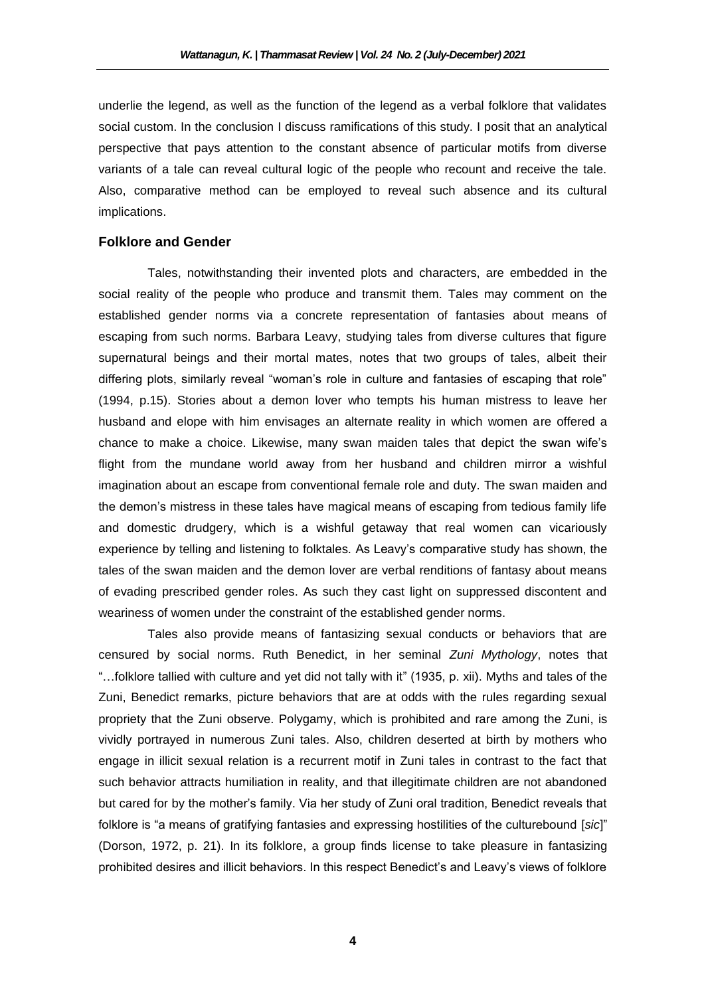underlie the legend, as well as the function of the legend as a verbal folklore that validates social custom. In the conclusion I discuss ramifications of this study. I posit that an analytical perspective that pays attention to the constant absence of particular motifs from diverse variants of a tale can reveal cultural logic of the people who recount and receive the tale. Also, comparative method can be employed to reveal such absence and its cultural implications.

## **Folklore and Gender**

Tales, notwithstanding their invented plots and characters, are embedded in the social reality of the people who produce and transmit them. Tales may comment on the established gender norms via a concrete representation of fantasies about means of escaping from such norms. Barbara Leavy, studying tales from diverse cultures that figure supernatural beings and their mortal mates, notes that two groups of tales, albeit their differing plots, similarly reveal "woman's role in culture and fantasies of escaping that role" (1994, p.15). Stories about a demon lover who tempts his human mistress to leave her husband and elope with him envisages an alternate reality in which women are offered a chance to make a choice. Likewise, many swan maiden tales that depict the swan wife's flight from the mundane world away from her husband and children mirror a wishful imagination about an escape from conventional female role and duty. The swan maiden and the demon's mistress in these tales have magical means of escaping from tedious family life and domestic drudgery, which is a wishful getaway that real women can vicariously experience by telling and listening to folktales. As Leavy's comparative study has shown, the tales of the swan maiden and the demon lover are verbal renditions of fantasy about means of evading prescribed gender roles. As such they cast light on suppressed discontent and weariness of women under the constraint of the established gender norms.

Tales also provide means of fantasizing sexual conducts or behaviors that are censured by social norms. Ruth Benedict, in her seminal *Zuni Mythology*, notes that "…folklore tallied with culture and yet did not tally with it" (1935, p. xii). Myths and tales of the Zuni, Benedict remarks, picture behaviors that are at odds with the rules regarding sexual propriety that the Zuni observe. Polygamy, which is prohibited and rare among the Zuni, is vividly portrayed in numerous Zuni tales. Also, children deserted at birth by mothers who engage in illicit sexual relation is a recurrent motif in Zuni tales in contrast to the fact that such behavior attracts humiliation in reality, and that illegitimate children are not abandoned but cared for by the mother's family. Via her study of Zuni oral tradition, Benedict reveals that folklore is "a means of gratifying fantasies and expressing hostilities of the culturebound [*sic*]" (Dorson, 1972, p. 21). In its folklore, a group finds license to take pleasure in fantasizing prohibited desires and illicit behaviors. In this respect Benedict's and Leavy's views of folklore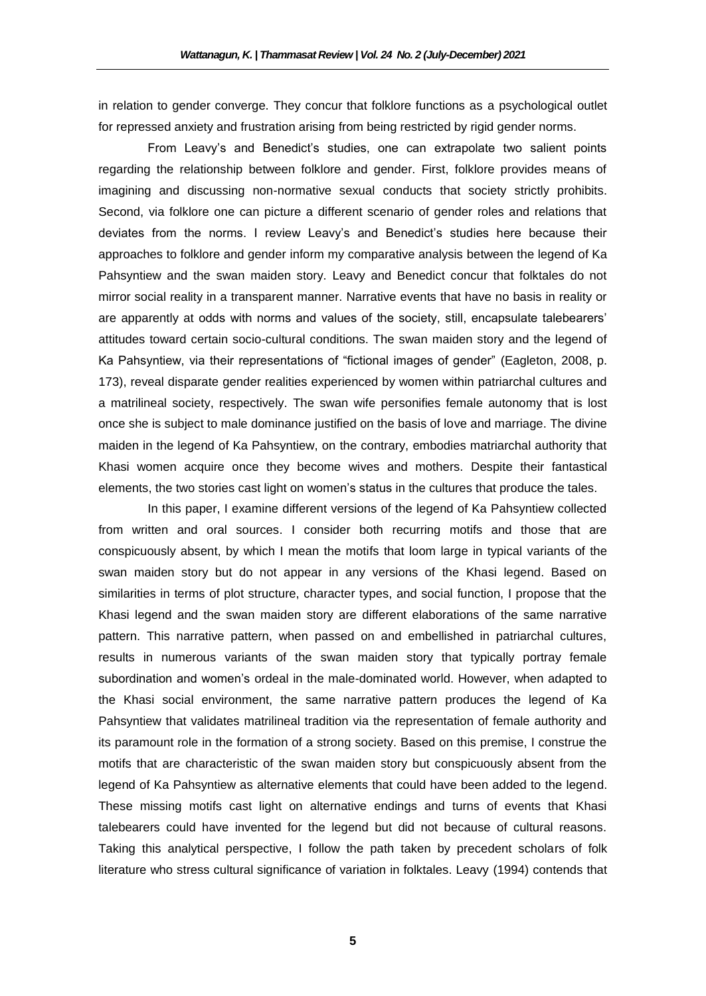in relation to gender converge. They concur that folklore functions as a psychological outlet for repressed anxiety and frustration arising from being restricted by rigid gender norms.

From Leavy's and Benedict's studies, one can extrapolate two salient points regarding the relationship between folklore and gender. First, folklore provides means of imagining and discussing non-normative sexual conducts that society strictly prohibits. Second, via folklore one can picture a different scenario of gender roles and relations that deviates from the norms. I review Leavy's and Benedict's studies here because their approaches to folklore and gender inform my comparative analysis between the legend of Ka Pahsyntiew and the swan maiden story. Leavy and Benedict concur that folktales do not mirror social reality in a transparent manner. Narrative events that have no basis in reality or are apparently at odds with norms and values of the society, still, encapsulate talebearers' attitudes toward certain socio-cultural conditions. The swan maiden story and the legend of Ka Pahsyntiew, via their representations of "fictional images of gender" (Eagleton, 2008, p. 173), reveal disparate gender realities experienced by women within patriarchal cultures and a matrilineal society, respectively. The swan wife personifies female autonomy that is lost once she is subject to male dominance justified on the basis of love and marriage. The divine maiden in the legend of Ka Pahsyntiew, on the contrary, embodies matriarchal authority that Khasi women acquire once they become wives and mothers. Despite their fantastical elements, the two stories cast light on women's status in the cultures that produce the tales.

In this paper, I examine different versions of the legend of Ka Pahsyntiew collected from written and oral sources. I consider both recurring motifs and those that are conspicuously absent, by which I mean the motifs that loom large in typical variants of the swan maiden story but do not appear in any versions of the Khasi legend. Based on similarities in terms of plot structure, character types, and social function, I propose that the Khasi legend and the swan maiden story are different elaborations of the same narrative pattern. This narrative pattern, when passed on and embellished in patriarchal cultures, results in numerous variants of the swan maiden story that typically portray female subordination and women's ordeal in the male-dominated world. However, when adapted to the Khasi social environment, the same narrative pattern produces the legend of Ka Pahsyntiew that validates matrilineal tradition via the representation of female authority and its paramount role in the formation of a strong society. Based on this premise, I construe the motifs that are characteristic of the swan maiden story but conspicuously absent from the legend of Ka Pahsyntiew as alternative elements that could have been added to the legend. These missing motifs cast light on alternative endings and turns of events that Khasi talebearers could have invented for the legend but did not because of cultural reasons. Taking this analytical perspective, I follow the path taken by precedent scholars of folk literature who stress cultural significance of variation in folktales. Leavy (1994) contends that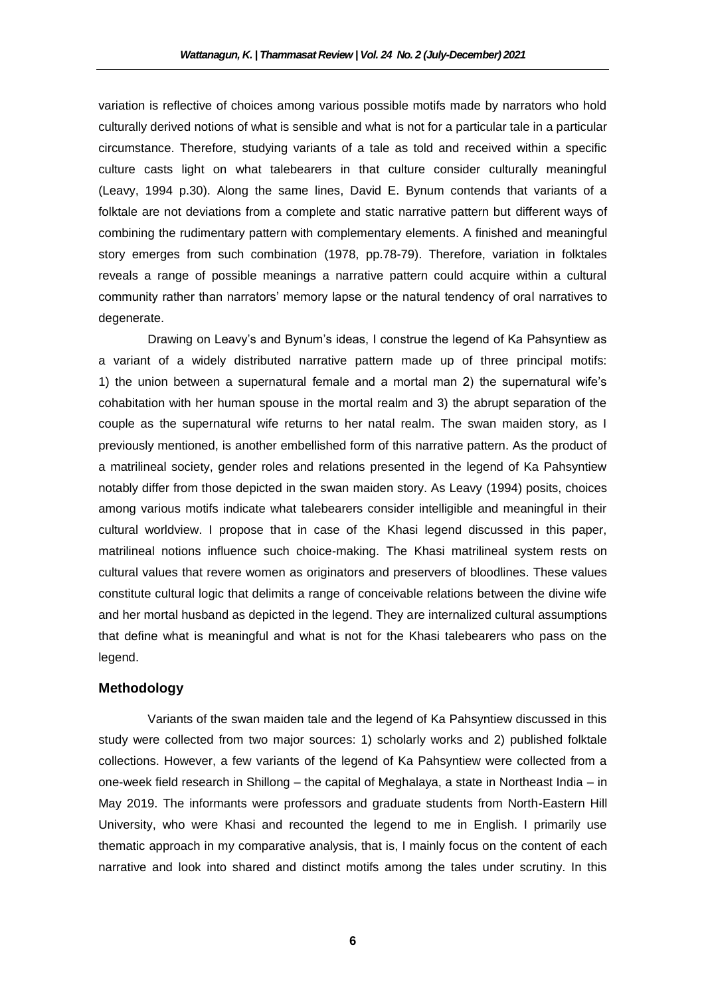variation is reflective of choices among various possible motifs made by narrators who hold culturally derived notions of what is sensible and what is not for a particular tale in a particular circumstance. Therefore, studying variants of a tale as told and received within a specific culture casts light on what talebearers in that culture consider culturally meaningful (Leavy, 1994 p.30). Along the same lines, David E. Bynum contends that variants of a folktale are not deviations from a complete and static narrative pattern but different ways of combining the rudimentary pattern with complementary elements. A finished and meaningful story emerges from such combination (1978, pp.78-79). Therefore, variation in folktales reveals a range of possible meanings a narrative pattern could acquire within a cultural community rather than narrators' memory lapse or the natural tendency of oral narratives to degenerate.

Drawing on Leavy's and Bynum's ideas, I construe the legend of Ka Pahsyntiew as a variant of a widely distributed narrative pattern made up of three principal motifs: 1) the union between a supernatural female and a mortal man 2) the supernatural wife's cohabitation with her human spouse in the mortal realm and 3) the abrupt separation of the couple as the supernatural wife returns to her natal realm. The swan maiden story, as I previously mentioned, is another embellished form of this narrative pattern. As the product of a matrilineal society, gender roles and relations presented in the legend of Ka Pahsyntiew notably differ from those depicted in the swan maiden story. As Leavy (1994) posits, choices among various motifs indicate what talebearers consider intelligible and meaningful in their cultural worldview. I propose that in case of the Khasi legend discussed in this paper, matrilineal notions influence such choice-making. The Khasi matrilineal system rests on cultural values that revere women as originators and preservers of bloodlines. These values constitute cultural logic that delimits a range of conceivable relations between the divine wife and her mortal husband as depicted in the legend. They are internalized cultural assumptions that define what is meaningful and what is not for the Khasi talebearers who pass on the legend.

# **Methodology**

Variants of the swan maiden tale and the legend of Ka Pahsyntiew discussed in this study were collected from two major sources: 1) scholarly works and 2) published folktale collections. However, a few variants of the legend of Ka Pahsyntiew were collected from a one-week field research in Shillong – the capital of Meghalaya, a state in Northeast India – in May 2019. The informants were professors and graduate students from North-Eastern Hill University, who were Khasi and recounted the legend to me in English. I primarily use thematic approach in my comparative analysis, that is, I mainly focus on the content of each narrative and look into shared and distinct motifs among the tales under scrutiny. In this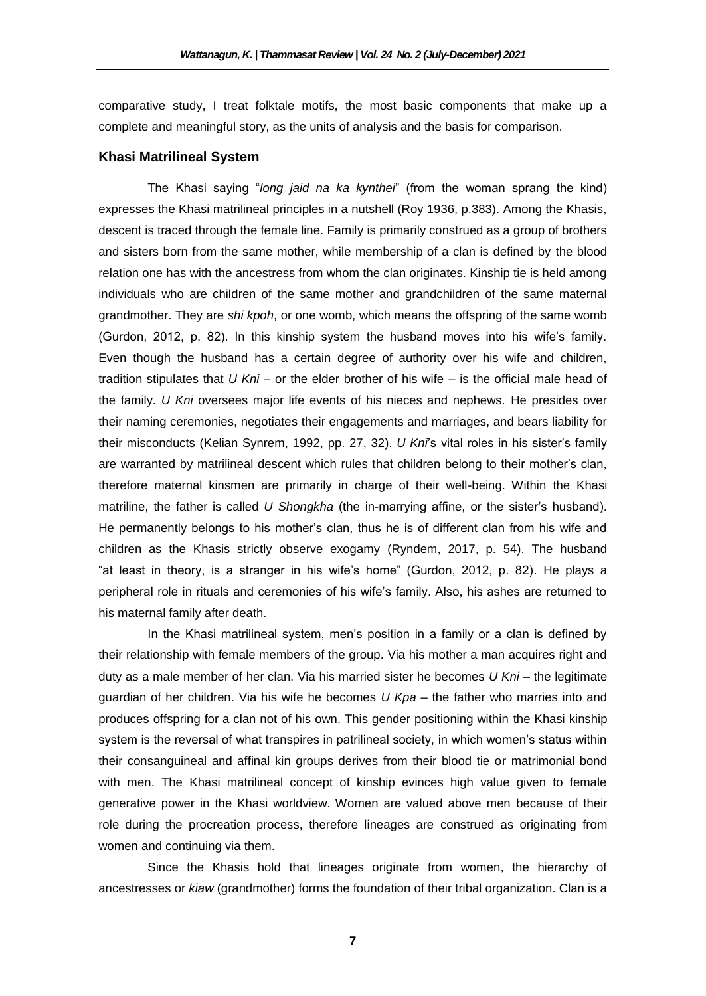comparative study, I treat folktale motifs, the most basic components that make up a complete and meaningful story, as the units of analysis and the basis for comparison.

## **Khasi Matrilineal System**

The Khasi saying "*long jaid na ka kynthei*" (from the woman sprang the kind) expresses the Khasi matrilineal principles in a nutshell (Roy 1936, p.383). Among the Khasis, descent is traced through the female line. Family is primarily construed as a group of brothers and sisters born from the same mother, while membership of a clan is defined by the blood relation one has with the ancestress from whom the clan originates. Kinship tie is held among individuals who are children of the same mother and grandchildren of the same maternal grandmother. They are *shi kpoh*, or one womb, which means the offspring of the same womb (Gurdon, 2012, p. 82). In this kinship system the husband moves into his wife's family. Even though the husband has a certain degree of authority over his wife and children, tradition stipulates that *U Kni* – or the elder brother of his wife – is the official male head of the family. *U Kni* oversees major life events of his nieces and nephews. He presides over their naming ceremonies, negotiates their engagements and marriages, and bears liability for their misconducts (Kelian Synrem, 1992, pp. 27, 32). *U Kni*'s vital roles in his sister's family are warranted by matrilineal descent which rules that children belong to their mother's clan, therefore maternal kinsmen are primarily in charge of their well-being. Within the Khasi matriline, the father is called *U Shongkha* (the in-marrying affine, or the sister's husband). He permanently belongs to his mother's clan, thus he is of different clan from his wife and children as the Khasis strictly observe exogamy (Ryndem, 2017, p. 54). The husband "at least in theory, is a stranger in his wife's home" (Gurdon, 2012, p. 82). He plays a peripheral role in rituals and ceremonies of his wife's family. Also, his ashes are returned to his maternal family after death.

In the Khasi matrilineal system, men's position in a family or a clan is defined by their relationship with female members of the group. Via his mother a man acquires right and duty as a male member of her clan. Via his married sister he becomes *U Kni* – the legitimate guardian of her children. Via his wife he becomes *U Kpa* – the father who marries into and produces offspring for a clan not of his own. This gender positioning within the Khasi kinship system is the reversal of what transpires in patrilineal society, in which women's status within their consanguineal and affinal kin groups derives from their blood tie or matrimonial bond with men. The Khasi matrilineal concept of kinship evinces high value given to female generative power in the Khasi worldview. Women are valued above men because of their role during the procreation process, therefore lineages are construed as originating from women and continuing via them.

Since the Khasis hold that lineages originate from women, the hierarchy of ancestresses or *kiaw* (grandmother) forms the foundation of their tribal organization. Clan is a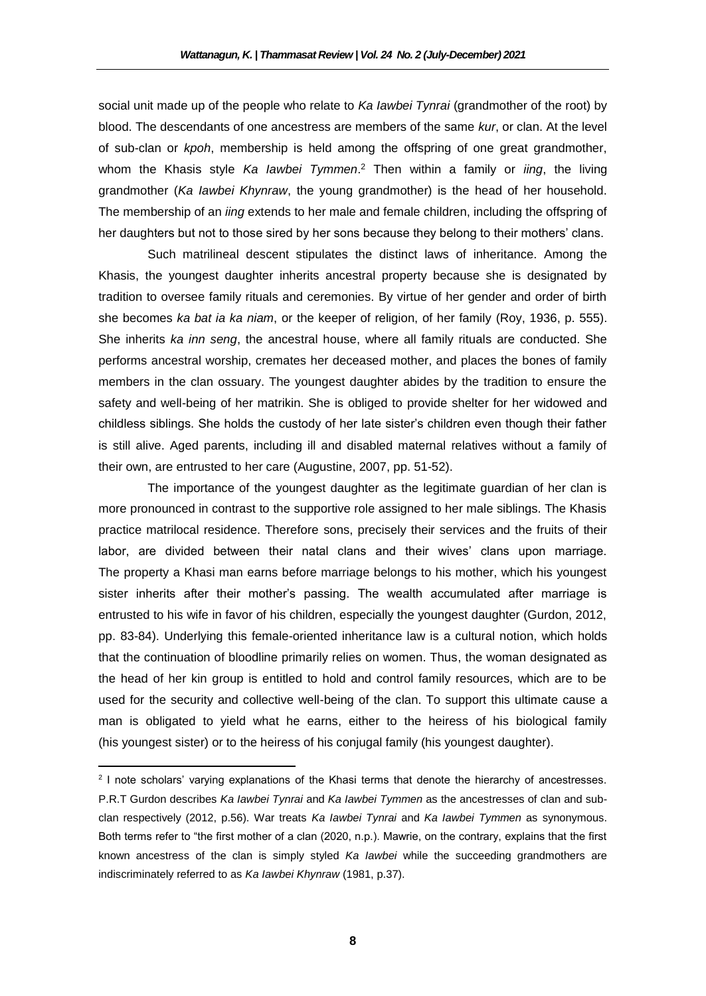social unit made up of the people who relate to *Ka Iawbei Tynrai* (grandmother of the root) by blood. The descendants of one ancestress are members of the same *kur*, or clan. At the level of sub-clan or *kpoh*, membership is held among the offspring of one great grandmother, whom the Khasis style *Ka Iawbei Tymmen*. <sup>2</sup> Then within a family or *iing*, the living grandmother (*Ka Iawbei Khynraw*, the young grandmother) is the head of her household. The membership of an *iing* extends to her male and female children, including the offspring of her daughters but not to those sired by her sons because they belong to their mothers' clans.

Such matrilineal descent stipulates the distinct laws of inheritance. Among the Khasis, the youngest daughter inherits ancestral property because she is designated by tradition to oversee family rituals and ceremonies. By virtue of her gender and order of birth she becomes *ka bat ia ka niam*, or the keeper of religion, of her family (Roy, 1936, p. 555). She inherits *ka inn seng*, the ancestral house, where all family rituals are conducted. She performs ancestral worship, cremates her deceased mother, and places the bones of family members in the clan ossuary. The youngest daughter abides by the tradition to ensure the safety and well-being of her matrikin. She is obliged to provide shelter for her widowed and childless siblings. She holds the custody of her late sister's children even though their father is still alive. Aged parents, including ill and disabled maternal relatives without a family of their own, are entrusted to her care (Augustine, 2007, pp. 51-52).

The importance of the youngest daughter as the legitimate guardian of her clan is more pronounced in contrast to the supportive role assigned to her male siblings. The Khasis practice matrilocal residence. Therefore sons, precisely their services and the fruits of their labor, are divided between their natal clans and their wives' clans upon marriage. The property a Khasi man earns before marriage belongs to his mother, which his youngest sister inherits after their mother's passing. The wealth accumulated after marriage is entrusted to his wife in favor of his children, especially the youngest daughter (Gurdon, 2012, pp. 83-84). Underlying this female-oriented inheritance law is a cultural notion, which holds that the continuation of bloodline primarily relies on women. Thus, the woman designated as the head of her kin group is entitled to hold and control family resources, which are to be used for the security and collective well-being of the clan. To support this ultimate cause a man is obligated to yield what he earns, either to the heiress of his biological family (his youngest sister) or to the heiress of his conjugal family (his youngest daughter).

 $\overline{\phantom{a}}$ 

<sup>&</sup>lt;sup>2</sup> I note scholars' varying explanations of the Khasi terms that denote the hierarchy of ancestresses. P.R.T Gurdon describes *Ka Iawbei Tynrai* and *Ka Iawbei Tymmen* as the ancestresses of clan and subclan respectively (2012, p.56). War treats *Ka Iawbei Tynrai* and *Ka Iawbei Tymmen* as synonymous. Both terms refer to "the first mother of a clan (2020, n.p.). Mawrie, on the contrary, explains that the first known ancestress of the clan is simply styled *Ka Iawbei* while the succeeding grandmothers are indiscriminately referred to as *Ka Iawbei Khynraw* (1981, p.37).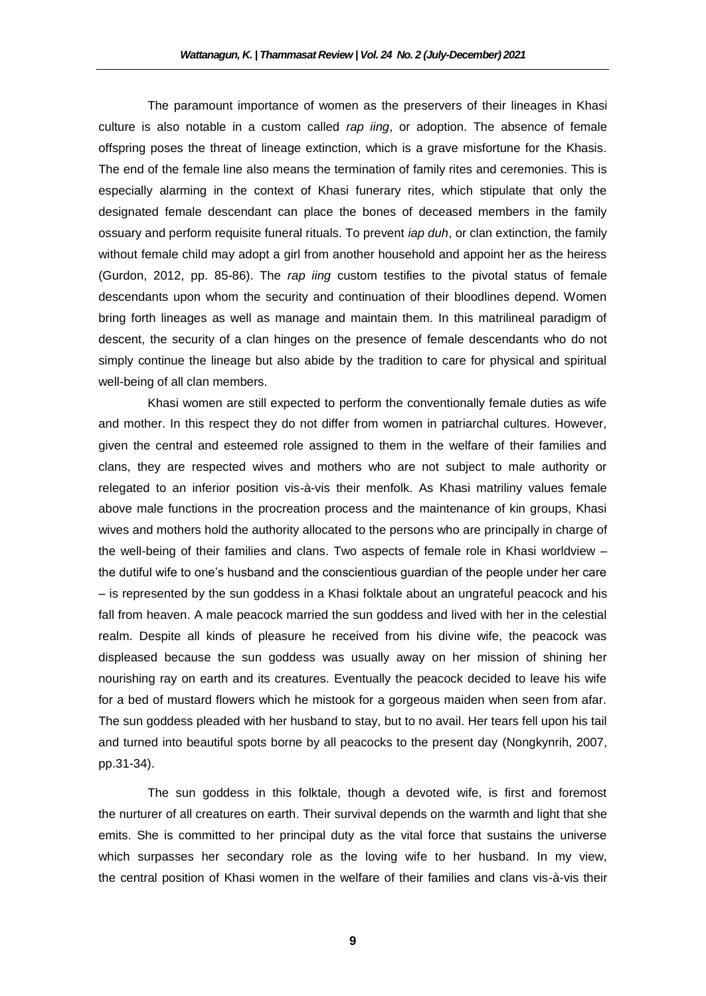The paramount importance of women as the preservers of their lineages in Khasi culture is also notable in a custom called *rap iing*, or adoption. The absence of female offspring poses the threat of lineage extinction, which is a grave misfortune for the Khasis. The end of the female line also means the termination of family rites and ceremonies. This is especially alarming in the context of Khasi funerary rites, which stipulate that only the designated female descendant can place the bones of deceased members in the family ossuary and perform requisite funeral rituals. To prevent *iap duh*, or clan extinction, the family without female child may adopt a girl from another household and appoint her as the heiress (Gurdon, 2012, pp. 85-86). The *rap iing* custom testifies to the pivotal status of female descendants upon whom the security and continuation of their bloodlines depend. Women bring forth lineages as well as manage and maintain them. In this matrilineal paradigm of descent, the security of a clan hinges on the presence of female descendants who do not simply continue the lineage but also abide by the tradition to care for physical and spiritual well-being of all clan members.

Khasi women are still expected to perform the conventionally female duties as wife and mother. In this respect they do not differ from women in patriarchal cultures. However, given the central and esteemed role assigned to them in the welfare of their families and clans, they are respected wives and mothers who are not subject to male authority or relegated to an inferior position vis-à-vis their menfolk. As Khasi matriliny values female above male functions in the procreation process and the maintenance of kin groups, Khasi wives and mothers hold the authority allocated to the persons who are principally in charge of the well-being of their families and clans. Two aspects of female role in Khasi worldview – the dutiful wife to one's husband and the conscientious guardian of the people under her care – is represented by the sun goddess in a Khasi folktale about an ungrateful peacock and his fall from heaven. A male peacock married the sun goddess and lived with her in the celestial realm. Despite all kinds of pleasure he received from his divine wife, the peacock was displeased because the sun goddess was usually away on her mission of shining her nourishing ray on earth and its creatures. Eventually the peacock decided to leave his wife for a bed of mustard flowers which he mistook for a gorgeous maiden when seen from afar. The sun goddess pleaded with her husband to stay, but to no avail. Her tears fell upon his tail and turned into beautiful spots borne by all peacocks to the present day (Nongkynrih, 2007, pp.31-34).

The sun goddess in this folktale, though a devoted wife, is first and foremost the nurturer of all creatures on earth. Their survival depends on the warmth and light that she emits. She is committed to her principal duty as the vital force that sustains the universe which surpasses her secondary role as the loving wife to her husband. In my view, the central position of Khasi women in the welfare of their families and clans vis-à-vis their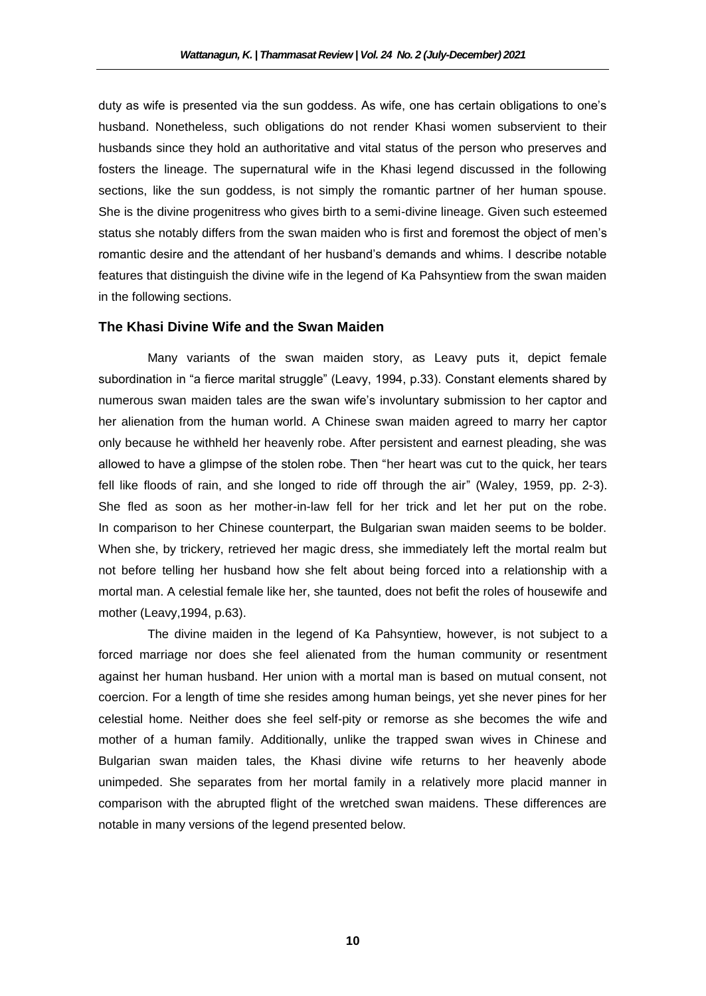duty as wife is presented via the sun goddess. As wife, one has certain obligations to one's husband. Nonetheless, such obligations do not render Khasi women subservient to their husbands since they hold an authoritative and vital status of the person who preserves and fosters the lineage. The supernatural wife in the Khasi legend discussed in the following sections, like the sun goddess, is not simply the romantic partner of her human spouse. She is the divine progenitress who gives birth to a semi-divine lineage. Given such esteemed status she notably differs from the swan maiden who is first and foremost the object of men's romantic desire and the attendant of her husband's demands and whims. I describe notable features that distinguish the divine wife in the legend of Ka Pahsyntiew from the swan maiden in the following sections.

## **The Khasi Divine Wife and the Swan Maiden**

Many variants of the swan maiden story, as Leavy puts it, depict female subordination in "a fierce marital struggle" (Leavy, 1994, p.33). Constant elements shared by numerous swan maiden tales are the swan wife's involuntary submission to her captor and her alienation from the human world. A Chinese swan maiden agreed to marry her captor only because he withheld her heavenly robe. After persistent and earnest pleading, she was allowed to have a glimpse of the stolen robe. Then "her heart was cut to the quick, her tears fell like floods of rain, and she longed to ride off through the air" (Waley, 1959, pp. 2-3). She fled as soon as her mother-in-law fell for her trick and let her put on the robe. In comparison to her Chinese counterpart, the Bulgarian swan maiden seems to be bolder. When she, by trickery, retrieved her magic dress, she immediately left the mortal realm but not before telling her husband how she felt about being forced into a relationship with a mortal man. A celestial female like her, she taunted, does not befit the roles of housewife and mother (Leavy,1994, p.63).

The divine maiden in the legend of Ka Pahsyntiew, however, is not subject to a forced marriage nor does she feel alienated from the human community or resentment against her human husband. Her union with a mortal man is based on mutual consent, not coercion. For a length of time she resides among human beings, yet she never pines for her celestial home. Neither does she feel self-pity or remorse as she becomes the wife and mother of a human family. Additionally, unlike the trapped swan wives in Chinese and Bulgarian swan maiden tales, the Khasi divine wife returns to her heavenly abode unimpeded. She separates from her mortal family in a relatively more placid manner in comparison with the abrupted flight of the wretched swan maidens. These differences are notable in many versions of the legend presented below.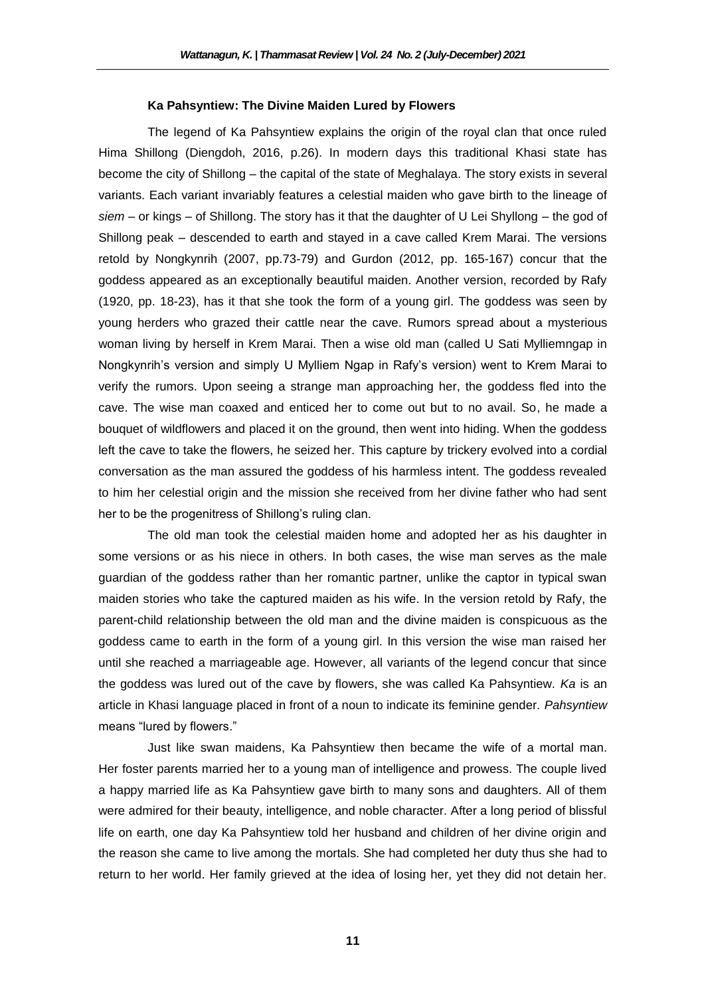#### **Ka Pahsyntiew: The Divine Maiden Lured by Flowers**

The legend of Ka Pahsyntiew explains the origin of the royal clan that once ruled Hima Shillong (Diengdoh, 2016, p.26). In modern days this traditional Khasi state has become the city of Shillong – the capital of the state of Meghalaya. The story exists in several variants. Each variant invariably features a celestial maiden who gave birth to the lineage of *siem* – or kings – of Shillong. The story has it that the daughter of U Lei Shyllong – the god of Shillong peak – descended to earth and stayed in a cave called Krem Marai. The versions retold by Nongkynrih (2007, pp.73-79) and Gurdon (2012, pp. 165-167) concur that the goddess appeared as an exceptionally beautiful maiden. Another version, recorded by Rafy (1920, pp. 18-23), has it that she took the form of a young girl. The goddess was seen by young herders who grazed their cattle near the cave. Rumors spread about a mysterious woman living by herself in Krem Marai. Then a wise old man (called U Sati Mylliemngap in Nongkynrih's version and simply U Mylliem Ngap in Rafy's version) went to Krem Marai to verify the rumors. Upon seeing a strange man approaching her, the goddess fled into the cave. The wise man coaxed and enticed her to come out but to no avail. So, he made a bouquet of wildflowers and placed it on the ground, then went into hiding. When the goddess left the cave to take the flowers, he seized her. This capture by trickery evolved into a cordial conversation as the man assured the goddess of his harmless intent. The goddess revealed to him her celestial origin and the mission she received from her divine father who had sent her to be the progenitress of Shillong's ruling clan.

The old man took the celestial maiden home and adopted her as his daughter in some versions or as his niece in others. In both cases, the wise man serves as the male guardian of the goddess rather than her romantic partner, unlike the captor in typical swan maiden stories who take the captured maiden as his wife. In the version retold by Rafy, the parent-child relationship between the old man and the divine maiden is conspicuous as the goddess came to earth in the form of a young girl. In this version the wise man raised her until she reached a marriageable age. However, all variants of the legend concur that since the goddess was lured out of the cave by flowers, she was called Ka Pahsyntiew. *Ka* is an article in Khasi language placed in front of a noun to indicate its feminine gender. *Pahsyntiew* means "lured by flowers."

Just like swan maidens, Ka Pahsyntiew then became the wife of a mortal man. Her foster parents married her to a young man of intelligence and prowess. The couple lived a happy married life as Ka Pahsyntiew gave birth to many sons and daughters. All of them were admired for their beauty, intelligence, and noble character. After a long period of blissful life on earth, one day Ka Pahsyntiew told her husband and children of her divine origin and the reason she came to live among the mortals. She had completed her duty thus she had to return to her world. Her family grieved at the idea of losing her, yet they did not detain her.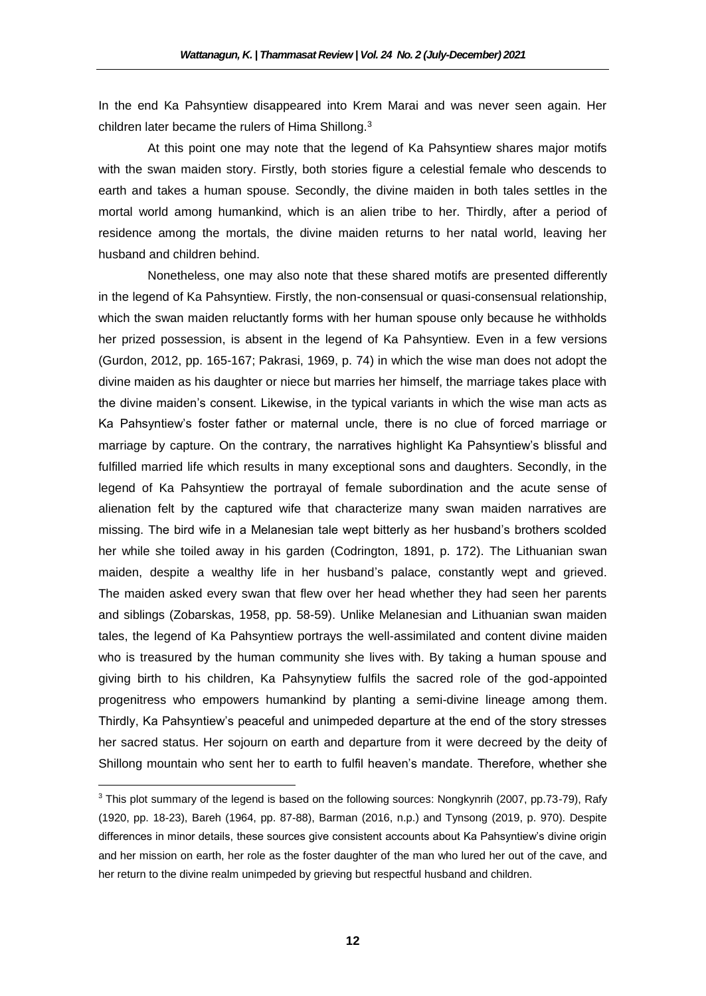In the end Ka Pahsyntiew disappeared into Krem Marai and was never seen again. Her children later became the rulers of Hima Shillong.<sup>3</sup>

At this point one may note that the legend of Ka Pahsyntiew shares major motifs with the swan maiden story. Firstly, both stories figure a celestial female who descends to earth and takes a human spouse. Secondly, the divine maiden in both tales settles in the mortal world among humankind, which is an alien tribe to her. Thirdly, after a period of residence among the mortals, the divine maiden returns to her natal world, leaving her husband and children behind.

Nonetheless, one may also note that these shared motifs are presented differently in the legend of Ka Pahsyntiew. Firstly, the non-consensual or quasi-consensual relationship, which the swan maiden reluctantly forms with her human spouse only because he withholds her prized possession, is absent in the legend of Ka Pahsyntiew. Even in a few versions (Gurdon, 2012, pp. 165-167; Pakrasi, 1969, p. 74) in which the wise man does not adopt the divine maiden as his daughter or niece but marries her himself, the marriage takes place with the divine maiden's consent. Likewise, in the typical variants in which the wise man acts as Ka Pahsyntiew's foster father or maternal uncle, there is no clue of forced marriage or marriage by capture. On the contrary, the narratives highlight Ka Pahsyntiew's blissful and fulfilled married life which results in many exceptional sons and daughters. Secondly, in the legend of Ka Pahsyntiew the portrayal of female subordination and the acute sense of alienation felt by the captured wife that characterize many swan maiden narratives are missing. The bird wife in a Melanesian tale wept bitterly as her husband's brothers scolded her while she toiled away in his garden (Codrington, 1891, p. 172). The Lithuanian swan maiden, despite a wealthy life in her husband's palace, constantly wept and grieved. The maiden asked every swan that flew over her head whether they had seen her parents and siblings (Zobarskas, 1958, pp. 58-59). Unlike Melanesian and Lithuanian swan maiden tales, the legend of Ka Pahsyntiew portrays the well-assimilated and content divine maiden who is treasured by the human community she lives with. By taking a human spouse and giving birth to his children, Ka Pahsynytiew fulfils the sacred role of the god-appointed progenitress who empowers humankind by planting a semi-divine lineage among them. Thirdly, Ka Pahsyntiew's peaceful and unimpeded departure at the end of the story stresses her sacred status. Her sojourn on earth and departure from it were decreed by the deity of Shillong mountain who sent her to earth to fulfil heaven's mandate. Therefore, whether she

 $\overline{\phantom{a}}$ 

 $3$  This plot summary of the legend is based on the following sources: Nongkynrih (2007, pp.73-79), Rafy (1920, pp. 18-23), Bareh (1964, pp. 87-88), Barman (2016, n.p.) and Tynsong (2019, p. 970). Despite differences in minor details, these sources give consistent accounts about Ka Pahsyntiew's divine origin and her mission on earth, her role as the foster daughter of the man who lured her out of the cave, and her return to the divine realm unimpeded by grieving but respectful husband and children.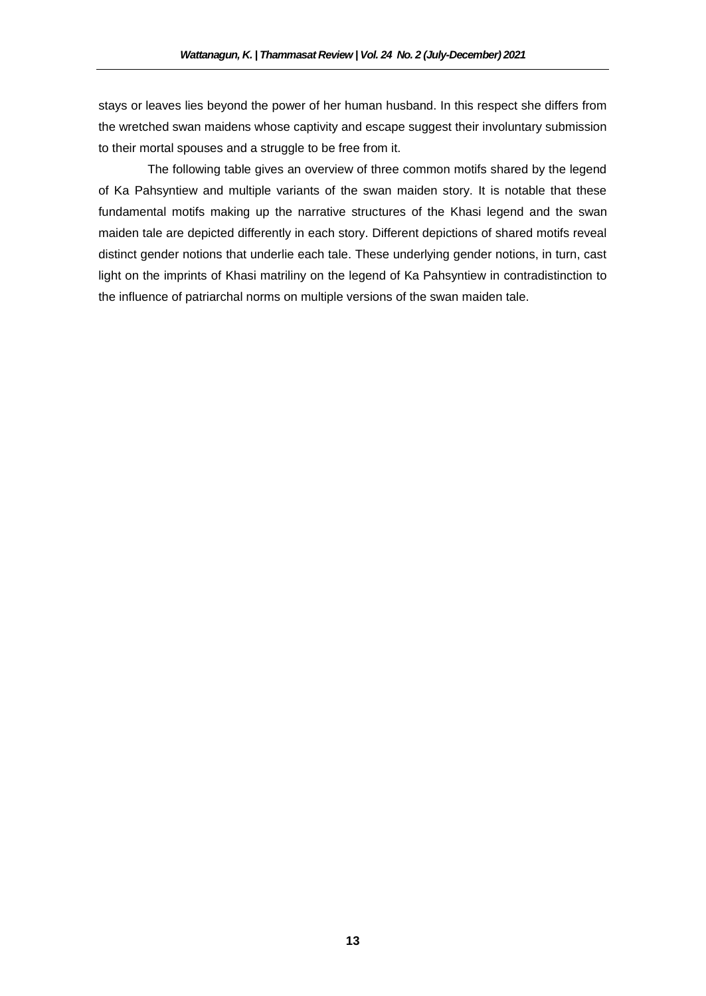stays or leaves lies beyond the power of her human husband. In this respect she differs from the wretched swan maidens whose captivity and escape suggest their involuntary submission to their mortal spouses and a struggle to be free from it.

The following table gives an overview of three common motifs shared by the legend of Ka Pahsyntiew and multiple variants of the swan maiden story. It is notable that these fundamental motifs making up the narrative structures of the Khasi legend and the swan maiden tale are depicted differently in each story. Different depictions of shared motifs reveal distinct gender notions that underlie each tale. These underlying gender notions, in turn, cast light on the imprints of Khasi matriliny on the legend of Ka Pahsyntiew in contradistinction to the influence of patriarchal norms on multiple versions of the swan maiden tale.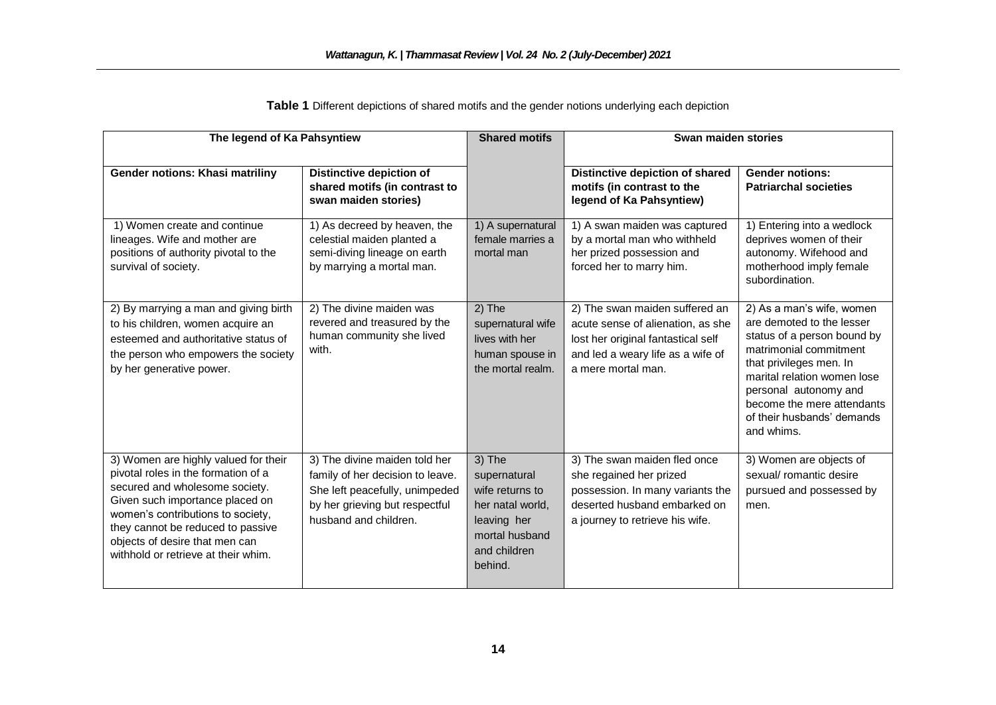| The legend of Ka Pahsyntiew                                                                                                                                                                                                                                                                         |                                                                                                                                                                | <b>Shared motifs</b>                                                                                                      | Swan maiden stories                                                                                                                                                  |                                                                                                                                                                                                                                                                              |
|-----------------------------------------------------------------------------------------------------------------------------------------------------------------------------------------------------------------------------------------------------------------------------------------------------|----------------------------------------------------------------------------------------------------------------------------------------------------------------|---------------------------------------------------------------------------------------------------------------------------|----------------------------------------------------------------------------------------------------------------------------------------------------------------------|------------------------------------------------------------------------------------------------------------------------------------------------------------------------------------------------------------------------------------------------------------------------------|
| Gender notions: Khasi matriliny                                                                                                                                                                                                                                                                     | Distinctive depiction of<br>shared motifs (in contrast to<br>swan maiden stories)                                                                              |                                                                                                                           | Distinctive depiction of shared<br>motifs (in contrast to the<br>legend of Ka Pahsyntiew)                                                                            | <b>Gender notions:</b><br><b>Patriarchal societies</b>                                                                                                                                                                                                                       |
| 1) Women create and continue<br>lineages. Wife and mother are<br>positions of authority pivotal to the<br>survival of society.                                                                                                                                                                      | 1) As decreed by heaven, the<br>celestial maiden planted a<br>semi-diving lineage on earth<br>by marrying a mortal man.                                        | 1) A supernatural<br>female marries a<br>mortal man                                                                       | 1) A swan maiden was captured<br>by a mortal man who withheld<br>her prized possession and<br>forced her to marry him.                                               | 1) Entering into a wedlock<br>deprives women of their<br>autonomy. Wifehood and<br>motherhood imply female<br>subordination.                                                                                                                                                 |
| 2) By marrying a man and giving birth<br>to his children, women acquire an<br>esteemed and authoritative status of<br>the person who empowers the society<br>by her generative power.                                                                                                               | 2) The divine maiden was<br>revered and treasured by the<br>human community she lived<br>with.                                                                 | $2)$ The<br>supernatural wife<br>lives with her<br>human spouse in<br>the mortal realm.                                   | 2) The swan maiden suffered an<br>acute sense of alienation, as she<br>lost her original fantastical self<br>and led a weary life as a wife of<br>a mere mortal man. | 2) As a man's wife, women<br>are demoted to the lesser<br>status of a person bound by<br>matrimonial commitment<br>that privileges men. In<br>marital relation women lose<br>personal autonomy and<br>become the mere attendants<br>of their husbands' demands<br>and whims. |
| 3) Women are highly valued for their<br>pivotal roles in the formation of a<br>secured and wholesome society.<br>Given such importance placed on<br>women's contributions to society,<br>they cannot be reduced to passive<br>objects of desire that men can<br>withhold or retrieve at their whim. | 3) The divine maiden told her<br>family of her decision to leave.<br>She left peacefully, unimpeded<br>by her grieving but respectful<br>husband and children. | 3) The<br>supernatural<br>wife returns to<br>her natal world,<br>leaving her<br>mortal husband<br>and children<br>behind. | 3) The swan maiden fled once<br>she regained her prized<br>possession. In many variants the<br>deserted husband embarked on<br>a journey to retrieve his wife.       | 3) Women are objects of<br>sexual/ romantic desire<br>pursued and possessed by<br>men.                                                                                                                                                                                       |

**Table 1** Different depictions of shared motifs and the gender notions underlying each depiction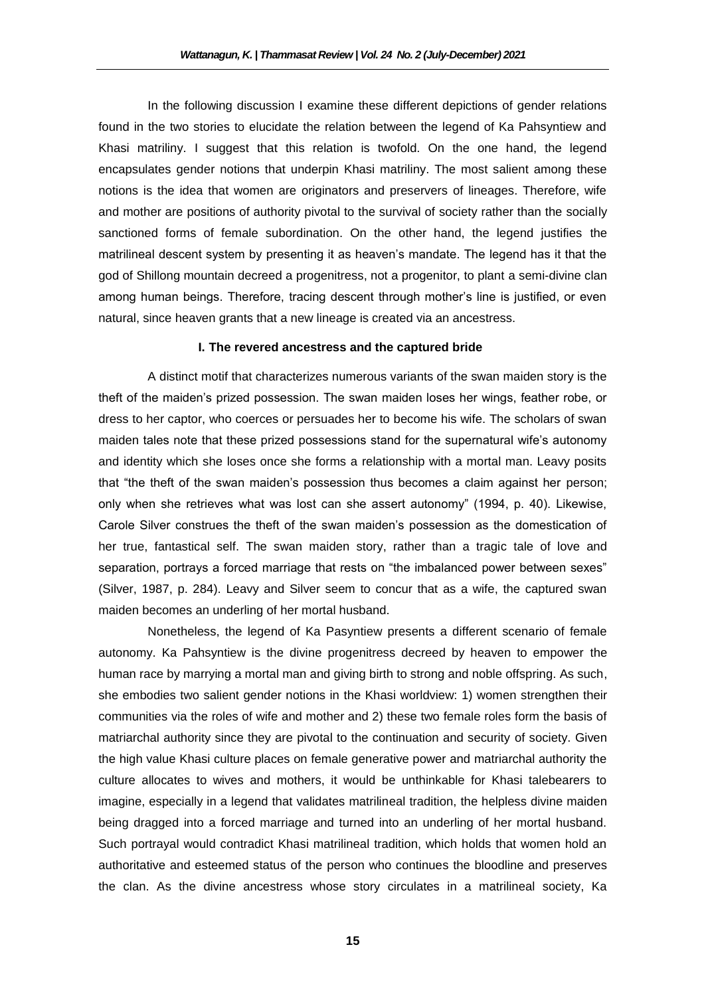In the following discussion I examine these different depictions of gender relations found in the two stories to elucidate the relation between the legend of Ka Pahsyntiew and Khasi matriliny. I suggest that this relation is twofold. On the one hand, the legend encapsulates gender notions that underpin Khasi matriliny. The most salient among these notions is the idea that women are originators and preservers of lineages. Therefore, wife and mother are positions of authority pivotal to the survival of society rather than the socially sanctioned forms of female subordination. On the other hand, the legend justifies the matrilineal descent system by presenting it as heaven's mandate. The legend has it that the god of Shillong mountain decreed a progenitress, not a progenitor, to plant a semi-divine clan among human beings. Therefore, tracing descent through mother's line is justified, or even natural, since heaven grants that a new lineage is created via an ancestress.

## **I. The revered ancestress and the captured bride**

A distinct motif that characterizes numerous variants of the swan maiden story is the theft of the maiden's prized possession. The swan maiden loses her wings, feather robe, or dress to her captor, who coerces or persuades her to become his wife. The scholars of swan maiden tales note that these prized possessions stand for the supernatural wife's autonomy and identity which she loses once she forms a relationship with a mortal man. Leavy posits that "the theft of the swan maiden's possession thus becomes a claim against her person; only when she retrieves what was lost can she assert autonomy" (1994, p. 40). Likewise, Carole Silver construes the theft of the swan maiden's possession as the domestication of her true, fantastical self. The swan maiden story, rather than a tragic tale of love and separation, portrays a forced marriage that rests on "the imbalanced power between sexes" (Silver, 1987, p. 284). Leavy and Silver seem to concur that as a wife, the captured swan maiden becomes an underling of her mortal husband.

Nonetheless, the legend of Ka Pasyntiew presents a different scenario of female autonomy. Ka Pahsyntiew is the divine progenitress decreed by heaven to empower the human race by marrying a mortal man and giving birth to strong and noble offspring. As such, she embodies two salient gender notions in the Khasi worldview: 1) women strengthen their communities via the roles of wife and mother and 2) these two female roles form the basis of matriarchal authority since they are pivotal to the continuation and security of society. Given the high value Khasi culture places on female generative power and matriarchal authority the culture allocates to wives and mothers, it would be unthinkable for Khasi talebearers to imagine, especially in a legend that validates matrilineal tradition, the helpless divine maiden being dragged into a forced marriage and turned into an underling of her mortal husband. Such portrayal would contradict Khasi matrilineal tradition, which holds that women hold an authoritative and esteemed status of the person who continues the bloodline and preserves the clan. As the divine ancestress whose story circulates in a matrilineal society, Ka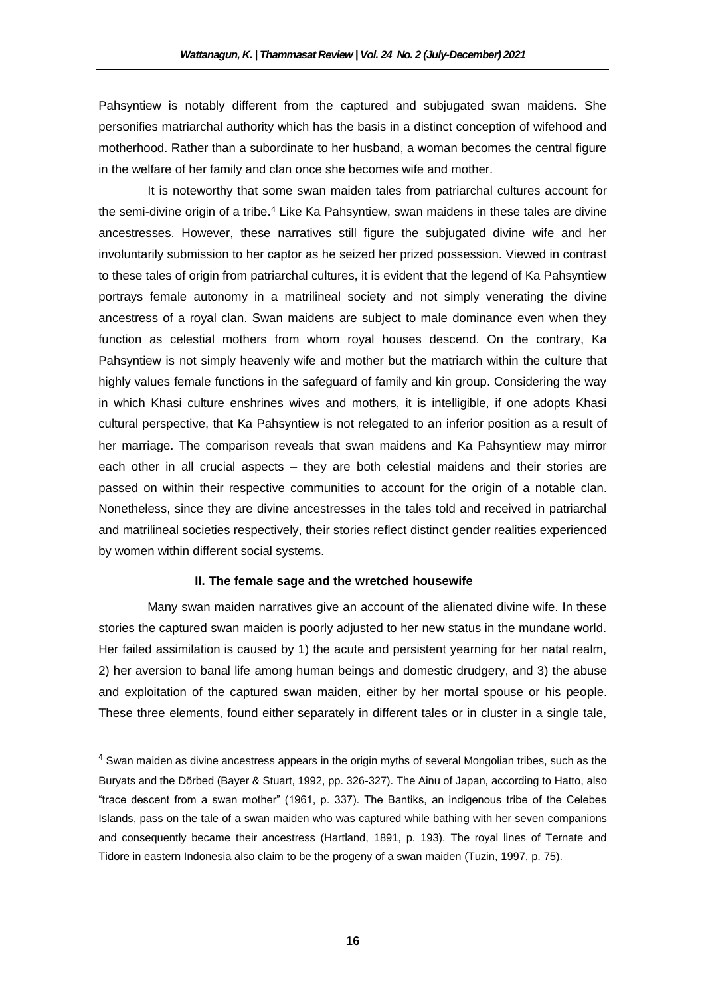Pahsyntiew is notably different from the captured and subjugated swan maidens. She personifies matriarchal authority which has the basis in a distinct conception of wifehood and motherhood. Rather than a subordinate to her husband, a woman becomes the central figure in the welfare of her family and clan once she becomes wife and mother.

It is noteworthy that some swan maiden tales from patriarchal cultures account for the semi-divine origin of a tribe.<sup>4</sup> Like Ka Pahsyntiew, swan maidens in these tales are divine ancestresses. However, these narratives still figure the subjugated divine wife and her involuntarily submission to her captor as he seized her prized possession. Viewed in contrast to these tales of origin from patriarchal cultures, it is evident that the legend of Ka Pahsyntiew portrays female autonomy in a matrilineal society and not simply venerating the divine ancestress of a royal clan. Swan maidens are subject to male dominance even when they function as celestial mothers from whom royal houses descend. On the contrary, Ka Pahsyntiew is not simply heavenly wife and mother but the matriarch within the culture that highly values female functions in the safeguard of family and kin group. Considering the way in which Khasi culture enshrines wives and mothers, it is intelligible, if one adopts Khasi cultural perspective, that Ka Pahsyntiew is not relegated to an inferior position as a result of her marriage. The comparison reveals that swan maidens and Ka Pahsyntiew may mirror each other in all crucial aspects – they are both celestial maidens and their stories are passed on within their respective communities to account for the origin of a notable clan. Nonetheless, since they are divine ancestresses in the tales told and received in patriarchal and matrilineal societies respectively, their stories reflect distinct gender realities experienced by women within different social systems.

## **II. The female sage and the wretched housewife**

Many swan maiden narratives give an account of the alienated divine wife. In these stories the captured swan maiden is poorly adjusted to her new status in the mundane world. Her failed assimilation is caused by 1) the acute and persistent yearning for her natal realm, 2) her aversion to banal life among human beings and domestic drudgery, and 3) the abuse and exploitation of the captured swan maiden, either by her mortal spouse or his people. These three elements, found either separately in different tales or in cluster in a single tale,

 $\overline{\phantom{a}}$ 

 $<sup>4</sup>$  Swan maiden as divine ancestress appears in the origin myths of several Mongolian tribes, such as the</sup> Buryats and the Dörbed (Bayer & Stuart, 1992, pp. 326-327). The Ainu of Japan, according to Hatto, also "trace descent from a swan mother" (1961, p. 337). The Bantiks, an indigenous tribe of the Celebes Islands, pass on the tale of a swan maiden who was captured while bathing with her seven companions and consequently became their ancestress (Hartland, 1891, p. 193). The royal lines of Ternate and Tidore in eastern Indonesia also claim to be the progeny of a swan maiden (Tuzin, 1997, p. 75).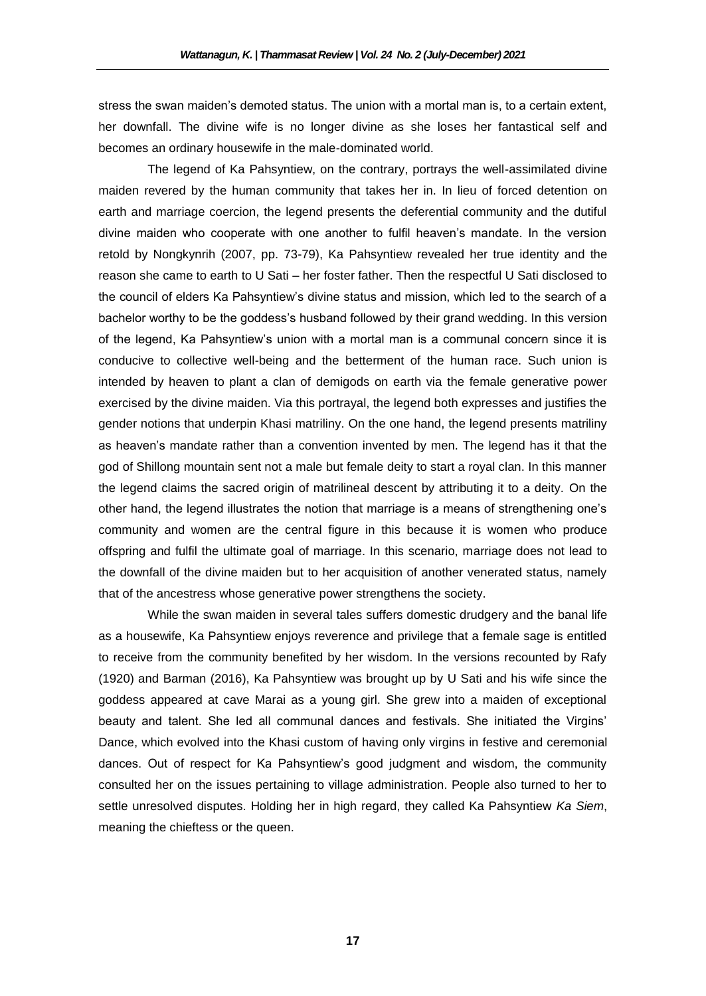stress the swan maiden's demoted status. The union with a mortal man is, to a certain extent, her downfall. The divine wife is no longer divine as she loses her fantastical self and becomes an ordinary housewife in the male-dominated world.

The legend of Ka Pahsyntiew, on the contrary, portrays the well-assimilated divine maiden revered by the human community that takes her in. In lieu of forced detention on earth and marriage coercion, the legend presents the deferential community and the dutiful divine maiden who cooperate with one another to fulfil heaven's mandate. In the version retold by Nongkynrih (2007, pp. 73-79), Ka Pahsyntiew revealed her true identity and the reason she came to earth to U Sati – her foster father. Then the respectful U Sati disclosed to the council of elders Ka Pahsyntiew's divine status and mission, which led to the search of a bachelor worthy to be the goddess's husband followed by their grand wedding. In this version of the legend, Ka Pahsyntiew's union with a mortal man is a communal concern since it is conducive to collective well-being and the betterment of the human race. Such union is intended by heaven to plant a clan of demigods on earth via the female generative power exercised by the divine maiden. Via this portrayal, the legend both expresses and justifies the gender notions that underpin Khasi matriliny. On the one hand, the legend presents matriliny as heaven's mandate rather than a convention invented by men. The legend has it that the god of Shillong mountain sent not a male but female deity to start a royal clan. In this manner the legend claims the sacred origin of matrilineal descent by attributing it to a deity. On the other hand, the legend illustrates the notion that marriage is a means of strengthening one's community and women are the central figure in this because it is women who produce offspring and fulfil the ultimate goal of marriage. In this scenario, marriage does not lead to the downfall of the divine maiden but to her acquisition of another venerated status, namely that of the ancestress whose generative power strengthens the society.

While the swan maiden in several tales suffers domestic drudgery and the banal life as a housewife, Ka Pahsyntiew enjoys reverence and privilege that a female sage is entitled to receive from the community benefited by her wisdom. In the versions recounted by Rafy (1920) and Barman (2016), Ka Pahsyntiew was brought up by U Sati and his wife since the goddess appeared at cave Marai as a young girl. She grew into a maiden of exceptional beauty and talent. She led all communal dances and festivals. She initiated the Virgins' Dance, which evolved into the Khasi custom of having only virgins in festive and ceremonial dances. Out of respect for Ka Pahsyntiew's good judgment and wisdom, the community consulted her on the issues pertaining to village administration. People also turned to her to settle unresolved disputes. Holding her in high regard, they called Ka Pahsyntiew *Ka Siem*, meaning the chieftess or the queen.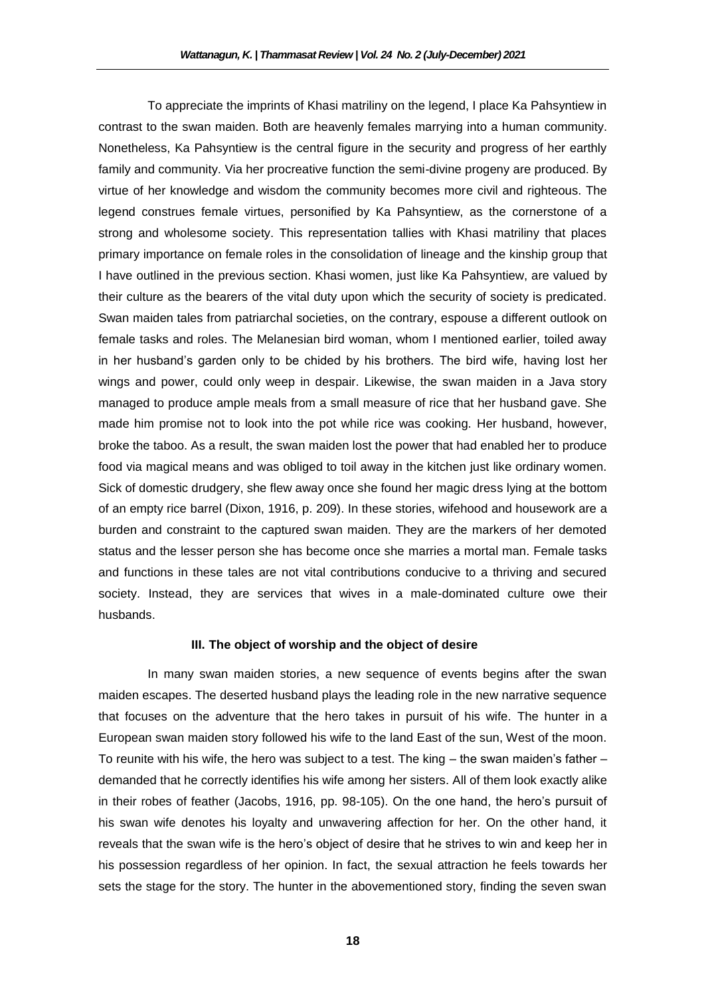To appreciate the imprints of Khasi matriliny on the legend, I place Ka Pahsyntiew in contrast to the swan maiden. Both are heavenly females marrying into a human community. Nonetheless, Ka Pahsyntiew is the central figure in the security and progress of her earthly family and community. Via her procreative function the semi-divine progeny are produced. By virtue of her knowledge and wisdom the community becomes more civil and righteous. The legend construes female virtues, personified by Ka Pahsyntiew, as the cornerstone of a strong and wholesome society. This representation tallies with Khasi matriliny that places primary importance on female roles in the consolidation of lineage and the kinship group that I have outlined in the previous section. Khasi women, just like Ka Pahsyntiew, are valued by their culture as the bearers of the vital duty upon which the security of society is predicated. Swan maiden tales from patriarchal societies, on the contrary, espouse a different outlook on female tasks and roles. The Melanesian bird woman, whom I mentioned earlier, toiled away in her husband's garden only to be chided by his brothers. The bird wife, having lost her wings and power, could only weep in despair. Likewise, the swan maiden in a Java story managed to produce ample meals from a small measure of rice that her husband gave. She made him promise not to look into the pot while rice was cooking. Her husband, however, broke the taboo. As a result, the swan maiden lost the power that had enabled her to produce food via magical means and was obliged to toil away in the kitchen just like ordinary women. Sick of domestic drudgery, she flew away once she found her magic dress lying at the bottom of an empty rice barrel (Dixon, 1916, p. 209). In these stories, wifehood and housework are a burden and constraint to the captured swan maiden. They are the markers of her demoted status and the lesser person she has become once she marries a mortal man. Female tasks and functions in these tales are not vital contributions conducive to a thriving and secured society. Instead, they are services that wives in a male-dominated culture owe their husbands.

## **III. The object of worship and the object of desire**

In many swan maiden stories, a new sequence of events begins after the swan maiden escapes. The deserted husband plays the leading role in the new narrative sequence that focuses on the adventure that the hero takes in pursuit of his wife. The hunter in a European swan maiden story followed his wife to the land East of the sun, West of the moon. To reunite with his wife, the hero was subject to a test. The king – the swan maiden's father – demanded that he correctly identifies his wife among her sisters. All of them look exactly alike in their robes of feather (Jacobs, 1916, pp. 98-105). On the one hand, the hero's pursuit of his swan wife denotes his loyalty and unwavering affection for her. On the other hand, it reveals that the swan wife is the hero's object of desire that he strives to win and keep her in his possession regardless of her opinion. In fact, the sexual attraction he feels towards her sets the stage for the story. The hunter in the abovementioned story, finding the seven swan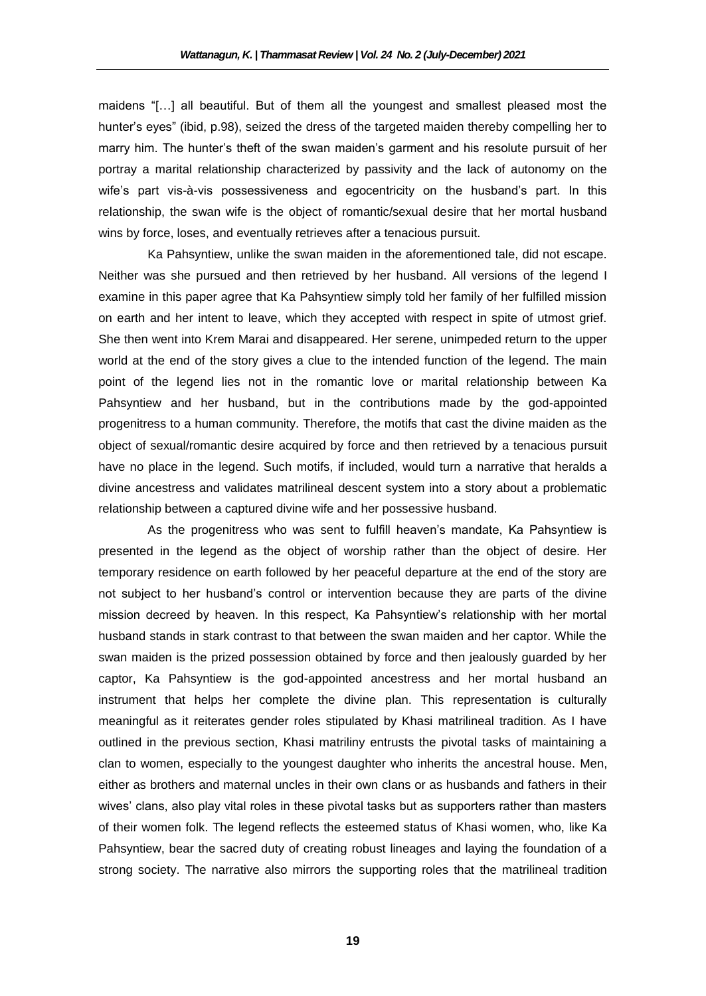maidens "[…] all beautiful. But of them all the youngest and smallest pleased most the hunter's eyes" (ibid, p.98), seized the dress of the targeted maiden thereby compelling her to marry him. The hunter's theft of the swan maiden's garment and his resolute pursuit of her portray a marital relationship characterized by passivity and the lack of autonomy on the wife's part vis-à-vis possessiveness and egocentricity on the husband's part. In this relationship, the swan wife is the object of romantic/sexual desire that her mortal husband wins by force, loses, and eventually retrieves after a tenacious pursuit.

Ka Pahsyntiew, unlike the swan maiden in the aforementioned tale, did not escape. Neither was she pursued and then retrieved by her husband. All versions of the legend I examine in this paper agree that Ka Pahsyntiew simply told her family of her fulfilled mission on earth and her intent to leave, which they accepted with respect in spite of utmost grief. She then went into Krem Marai and disappeared. Her serene, unimpeded return to the upper world at the end of the story gives a clue to the intended function of the legend. The main point of the legend lies not in the romantic love or marital relationship between Ka Pahsyntiew and her husband, but in the contributions made by the god-appointed progenitress to a human community. Therefore, the motifs that cast the divine maiden as the object of sexual/romantic desire acquired by force and then retrieved by a tenacious pursuit have no place in the legend. Such motifs, if included, would turn a narrative that heralds a divine ancestress and validates matrilineal descent system into a story about a problematic relationship between a captured divine wife and her possessive husband.

As the progenitress who was sent to fulfill heaven's mandate, Ka Pahsyntiew is presented in the legend as the object of worship rather than the object of desire. Her temporary residence on earth followed by her peaceful departure at the end of the story are not subject to her husband's control or intervention because they are parts of the divine mission decreed by heaven. In this respect, Ka Pahsyntiew's relationship with her mortal husband stands in stark contrast to that between the swan maiden and her captor. While the swan maiden is the prized possession obtained by force and then jealously guarded by her captor, Ka Pahsyntiew is the god-appointed ancestress and her mortal husband an instrument that helps her complete the divine plan. This representation is culturally meaningful as it reiterates gender roles stipulated by Khasi matrilineal tradition. As I have outlined in the previous section, Khasi matriliny entrusts the pivotal tasks of maintaining a clan to women, especially to the youngest daughter who inherits the ancestral house. Men, either as brothers and maternal uncles in their own clans or as husbands and fathers in their wives' clans, also play vital roles in these pivotal tasks but as supporters rather than masters of their women folk. The legend reflects the esteemed status of Khasi women, who, like Ka Pahsyntiew, bear the sacred duty of creating robust lineages and laying the foundation of a strong society. The narrative also mirrors the supporting roles that the matrilineal tradition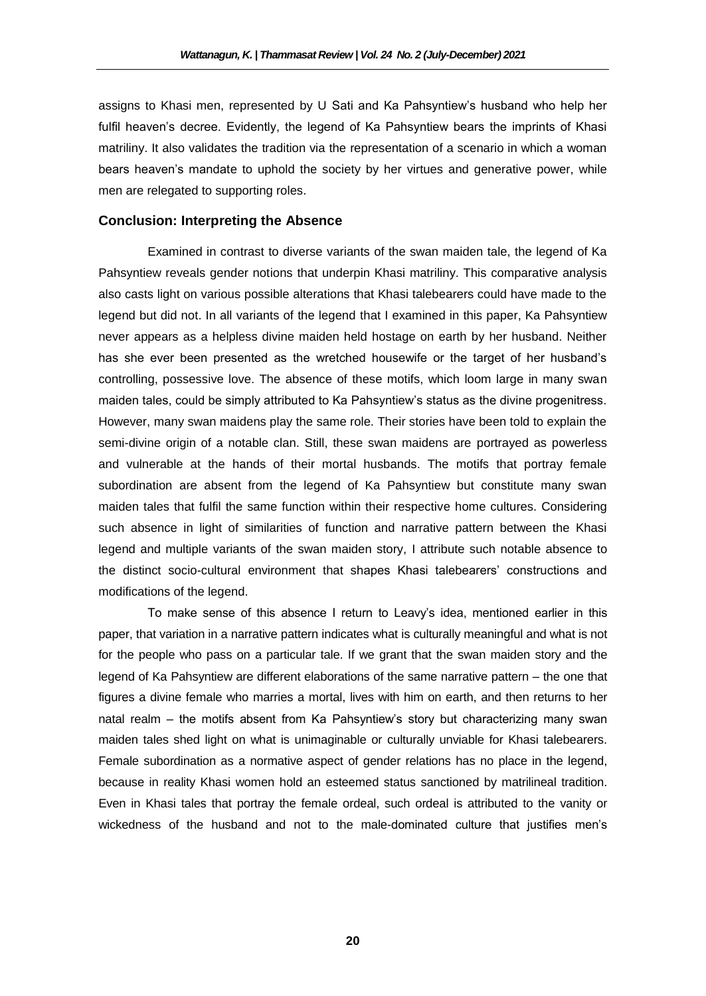assigns to Khasi men, represented by U Sati and Ka Pahsyntiew's husband who help her fulfil heaven's decree. Evidently, the legend of Ka Pahsyntiew bears the imprints of Khasi matriliny. It also validates the tradition via the representation of a scenario in which a woman bears heaven's mandate to uphold the society by her virtues and generative power, while men are relegated to supporting roles.

## **Conclusion: Interpreting the Absence**

Examined in contrast to diverse variants of the swan maiden tale, the legend of Ka Pahsyntiew reveals gender notions that underpin Khasi matriliny. This comparative analysis also casts light on various possible alterations that Khasi talebearers could have made to the legend but did not. In all variants of the legend that I examined in this paper, Ka Pahsyntiew never appears as a helpless divine maiden held hostage on earth by her husband. Neither has she ever been presented as the wretched housewife or the target of her husband's controlling, possessive love. The absence of these motifs, which loom large in many swan maiden tales, could be simply attributed to Ka Pahsyntiew's status as the divine progenitress. However, many swan maidens play the same role. Their stories have been told to explain the semi-divine origin of a notable clan. Still, these swan maidens are portrayed as powerless and vulnerable at the hands of their mortal husbands. The motifs that portray female subordination are absent from the legend of Ka Pahsyntiew but constitute many swan maiden tales that fulfil the same function within their respective home cultures. Considering such absence in light of similarities of function and narrative pattern between the Khasi legend and multiple variants of the swan maiden story, I attribute such notable absence to the distinct socio-cultural environment that shapes Khasi talebearers' constructions and modifications of the legend.

To make sense of this absence I return to Leavy's idea, mentioned earlier in this paper, that variation in a narrative pattern indicates what is culturally meaningful and what is not for the people who pass on a particular tale. If we grant that the swan maiden story and the legend of Ka Pahsyntiew are different elaborations of the same narrative pattern – the one that figures a divine female who marries a mortal, lives with him on earth, and then returns to her natal realm – the motifs absent from Ka Pahsyntiew's story but characterizing many swan maiden tales shed light on what is unimaginable or culturally unviable for Khasi talebearers. Female subordination as a normative aspect of gender relations has no place in the legend, because in reality Khasi women hold an esteemed status sanctioned by matrilineal tradition. Even in Khasi tales that portray the female ordeal, such ordeal is attributed to the vanity or wickedness of the husband and not to the male-dominated culture that justifies men's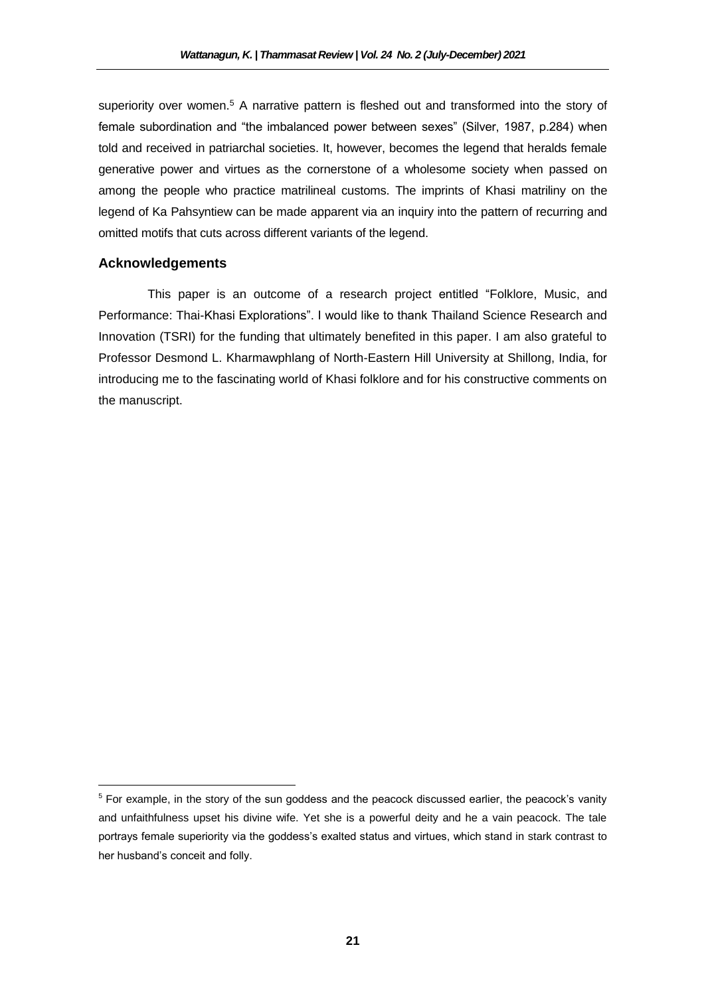superiority over women.<sup>5</sup> A narrative pattern is fleshed out and transformed into the story of female subordination and "the imbalanced power between sexes" (Silver, 1987, p.284) when told and received in patriarchal societies. It, however, becomes the legend that heralds female generative power and virtues as the cornerstone of a wholesome society when passed on among the people who practice matrilineal customs. The imprints of Khasi matriliny on the legend of Ka Pahsyntiew can be made apparent via an inquiry into the pattern of recurring and omitted motifs that cuts across different variants of the legend.

## **Acknowledgements**

 $\overline{\phantom{a}}$ 

This paper is an outcome of a research project entitled "Folklore, Music, and Performance: Thai-Khasi Explorations". I would like to thank Thailand Science Research and Innovation (TSRI) for the funding that ultimately benefited in this paper. I am also grateful to Professor Desmond L. Kharmawphlang of North-Eastern Hill University at Shillong, India, for introducing me to the fascinating world of Khasi folklore and for his constructive comments on the manuscript.

 $5$  For example, in the story of the sun goddess and the peacock discussed earlier, the peacock's vanity and unfaithfulness upset his divine wife. Yet she is a powerful deity and he a vain peacock. The tale portrays female superiority via the goddess's exalted status and virtues, which stand in stark contrast to her husband's conceit and folly.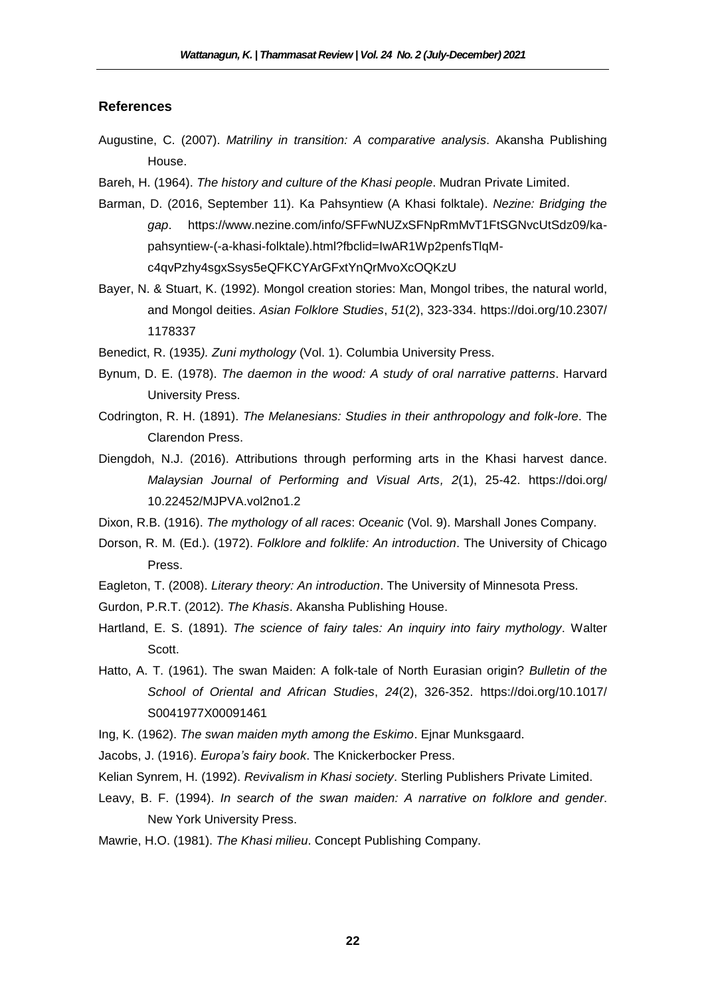## **References**

- Augustine, C. (2007). *Matriliny in transition: A comparative analysis*. Akansha Publishing House.
- Bareh, H. (1964). *The history and culture of the Khasi people*. Mudran Private Limited.
- Barman, D. (2016, September 11). Ka Pahsyntiew (A Khasi folktale). *Nezine: Bridging the gap*. https://www.nezine.com/info/SFFwNUZxSFNpRmMvT1FtSGNvcUtSdz09/kapahsyntiew-(-a-khasi-folktale).html?fbclid=IwAR1Wp2penfsTlqMc4qvPzhy4sgxSsys5eQFKCYArGFxtYnQrMvoXcOQKzU
- Bayer, N. & Stuart, K. (1992). Mongol creation stories: Man, Mongol tribes, the natural world, and Mongol deities. *Asian Folklore Studies*, *51*(2), 323-334. https://doi.org/10.2307/ 1178337
- Benedict, R. (1935*). Zuni mythology* (Vol. 1). Columbia University Press.
- Bynum, D. E. (1978). *The daemon in the wood: A study of oral narrative patterns*. Harvard University Press.
- Codrington, R. H. (1891). *The Melanesians: Studies in their anthropology and folk-lore*. The Clarendon Press.
- Diengdoh, N.J. (2016). Attributions through performing arts in the Khasi harvest dance. *Malaysian Journal of Performing and Visual Arts, 2*(1), 25-42. https://doi.org/ 10.22452/MJPVA.vol2no1.2
- Dixon, R.B. (1916). *The mythology of all races*: *Oceanic* (Vol. 9). Marshall Jones Company.
- Dorson, R. M. (Ed.). (1972). *Folklore and folklife: An introduction*. The University of Chicago Press.
- Eagleton, T. (2008). *Literary theory: An introduction*. The University of Minnesota Press.
- Gurdon, P.R.T. (2012). *The Khasis*. Akansha Publishing House.
- Hartland, E. S. (1891). *The science of fairy tales: An inquiry into fairy mythology*. Walter Scott.
- Hatto, A. T. (1961). The swan Maiden: A folk-tale of North Eurasian origin? *Bulletin of the School of Oriental and African Studies*, *24*(2), 326-352. https://doi.org/10.1017/ S0041977X00091461
- Ing, K. (1962). *The swan maiden myth among the Eskimo*. Ejnar Munksgaard.
- Jacobs, J. (1916). *Europa's fairy book*. The Knickerbocker Press.
- Kelian Synrem, H. (1992). *Revivalism in Khasi society*. Sterling Publishers Private Limited.
- Leavy, B. F. (1994). *In search of the swan maiden: A narrative on folklore and gender*. New York University Press.
- Mawrie, H.O. (1981). *The Khasi milieu*. Concept Publishing Company.